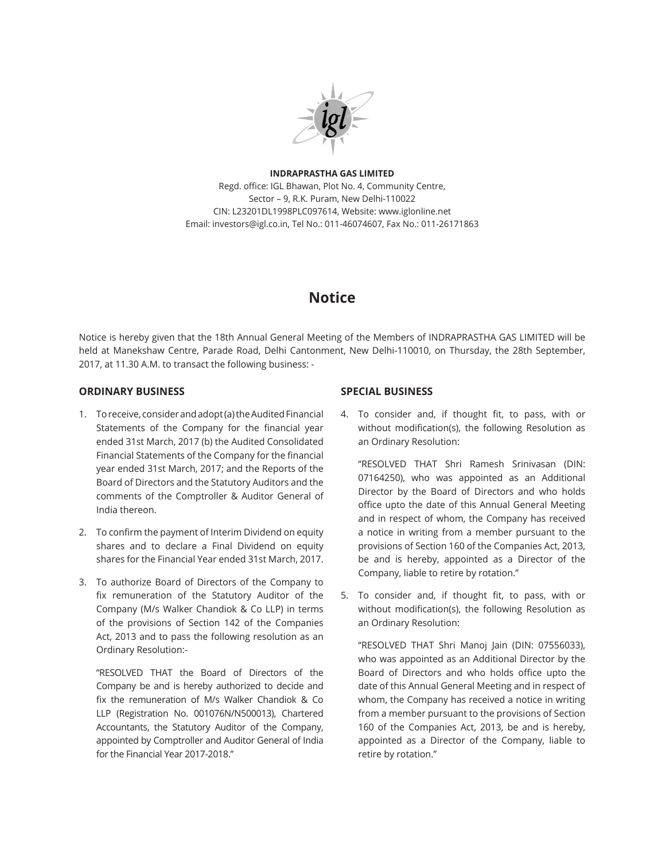

#### **INDRAPRASTHA GAS LIMITED**

Regd. office: IGL Bhawan, Plot No. 4, Community Centre, Sector – 9, R.K. Puram, New Delhi-110022 CIN: L23201DL1998PLC097614, Website: www.iglonline.net Email: investors@igl.co.in, Tel No.: 011-46074607, Fax No.: 011-26171863

# **Notice**

Notice is hereby given that the 18th Annual General Meeting of the Members of INDRAPRASTHA GAS LIMITED will be held at Manekshaw Centre, Parade Road, Delhi Cantonment, New Delhi-110010, on Thursday, the 28th September, 2017, at 11.30 A.M. to transact the following business: -

#### **ORDINARY BUSINESS**

- 1. To receive, consider and adopt (a) the Audited Financial Statements of the Company for the financial year ended 31st March, 2017 (b) the Audited Consolidated Financial Statements of the Company for the financial year ended 31st March, 2017; and the Reports of the Board of Directors and the Statutory Auditors and the comments of the Comptroller & Auditor General of India thereon.
- 2. To confirm the payment of Interim Dividend on equity shares and to declare a Final Dividend on equity shares for the Financial Year ended 31st March, 2017.
- 3. To authorize Board of Directors of the Company to fix remuneration of the Statutory Auditor of the Company (M/s Walker Chandiok & Co LLP) in terms of the provisions of Section 142 of the Companies Act, 2013 and to pass the following resolution as an Ordinary Resolution:-

"RESOLVED THAT the Board of Directors of the Company be and is hereby authorized to decide and fix the remuneration of M/s Walker Chandiok & Co LLP (Registration No. 001076N/N500013), Chartered Accountants, the Statutory Auditor of the Company, appointed by Comptroller and Auditor General of India for the Financial Year 2017-2018."

#### **SPECIAL BUSINESS**

4. To consider and, if thought fit, to pass, with or without modification(s), the following Resolution as an Ordinary Resolution:

"RESOLVED THAT Shri Ramesh Srinivasan (DIN: 07164250), who was appointed as an Additional Director by the Board of Directors and who holds office upto the date of this Annual General Meeting and in respect of whom, the Company has received a notice in writing from a member pursuant to the provisions of Section 160 of the Companies Act, 2013, be and is hereby, appointed as a Director of the Company, liable to retire by rotation."

5. To consider and, if thought fit, to pass, with or without modification(s), the following Resolution as an Ordinary Resolution:

"RESOLVED THAT Shri Manoj Jain (DIN: 07556033), who was appointed as an Additional Director by the Board of Directors and who holds office upto the date of this Annual General Meeting and in respect of whom, the Company has received a notice in writing from a member pursuant to the provisions of Section 160 of the Companies Act, 2013, be and is hereby, appointed as a Director of the Company, liable to retire by rotation."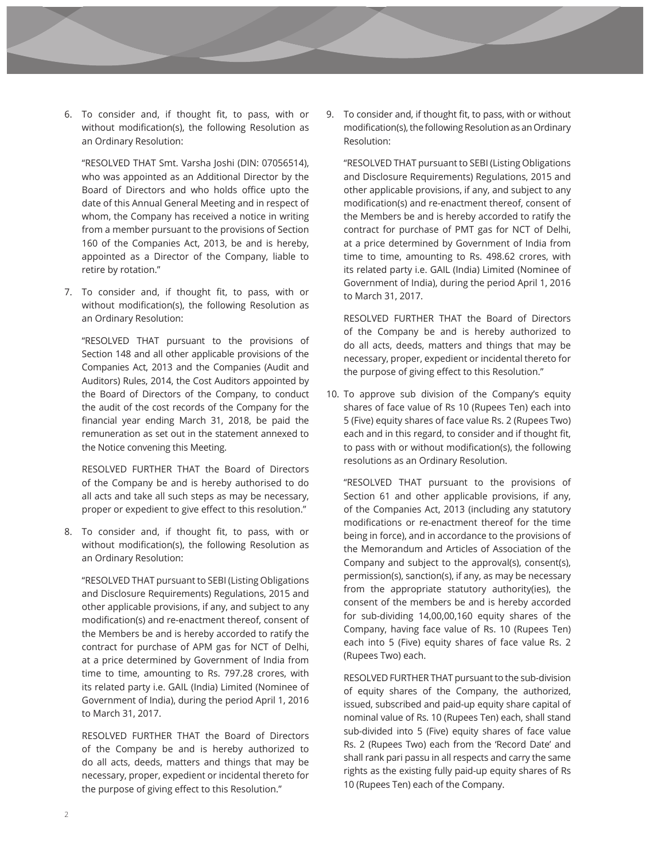6. To consider and, if thought fit, to pass, with or without modification(s), the following Resolution as an Ordinary Resolution:

"RESOLVED THAT Smt. Varsha Joshi (DIN: 07056514), who was appointed as an Additional Director by the Board of Directors and who holds office upto the date of this Annual General Meeting and in respect of whom, the Company has received a notice in writing from a member pursuant to the provisions of Section 160 of the Companies Act, 2013, be and is hereby, appointed as a Director of the Company, liable to retire by rotation."

7. To consider and, if thought fit, to pass, with or without modification(s), the following Resolution as an Ordinary Resolution:

"RESOLVED THAT pursuant to the provisions of Section 148 and all other applicable provisions of the Companies Act, 2013 and the Companies (Audit and Auditors) Rules, 2014, the Cost Auditors appointed by the Board of Directors of the Company, to conduct the audit of the cost records of the Company for the financial year ending March 31, 2018, be paid the remuneration as set out in the statement annexed to the Notice convening this Meeting.

RESOLVED FURTHER THAT the Board of Directors of the Company be and is hereby authorised to do all acts and take all such steps as may be necessary, proper or expedient to give effect to this resolution."

8. To consider and, if thought fit, to pass, with or without modification(s), the following Resolution as an Ordinary Resolution:

"RESOLVED THAT pursuant to SEBI (Listing Obligations and Disclosure Requirements) Regulations, 2015 and other applicable provisions, if any, and subject to any modification(s) and re-enactment thereof, consent of the Members be and is hereby accorded to ratify the contract for purchase of APM gas for NCT of Delhi, at a price determined by Government of India from time to time, amounting to Rs. 797.28 crores, with its related party i.e. GAIL (India) Limited (Nominee of Government of India), during the period April 1, 2016 to March 31, 2017.

RESOLVED FURTHER THAT the Board of Directors of the Company be and is hereby authorized to do all acts, deeds, matters and things that may be necessary, proper, expedient or incidental thereto for the purpose of giving effect to this Resolution."

9. To consider and, if thought fit, to pass, with or without modification(s), the following Resolution as an Ordinary Resolution:

"RESOLVED THAT pursuant to SEBI (Listing Obligations and Disclosure Requirements) Regulations, 2015 and other applicable provisions, if any, and subject to any modification(s) and re-enactment thereof, consent of the Members be and is hereby accorded to ratify the contract for purchase of PMT gas for NCT of Delhi, at a price determined by Government of India from time to time, amounting to Rs. 498.62 crores, with its related party i.e. GAIL (India) Limited (Nominee of Government of India), during the period April 1, 2016 to March 31, 2017.

RESOLVED FURTHER THAT the Board of Directors of the Company be and is hereby authorized to do all acts, deeds, matters and things that may be necessary, proper, expedient or incidental thereto for the purpose of giving effect to this Resolution."

10. To approve sub division of the Company's equity shares of face value of Rs 10 (Rupees Ten) each into 5 (Five) equity shares of face value Rs. 2 (Rupees Two) each and in this regard, to consider and if thought fit, to pass with or without modification(s), the following resolutions as an Ordinary Resolution.

"RESOLVED THAT pursuant to the provisions of Section 61 and other applicable provisions, if any, of the Companies Act, 2013 (including any statutory modifications or re-enactment thereof for the time being in force), and in accordance to the provisions of the Memorandum and Articles of Association of the Company and subject to the approval(s), consent(s), permission(s), sanction(s), if any, as may be necessary from the appropriate statutory authority(ies), the consent of the members be and is hereby accorded for sub-dividing 14,00,00,160 equity shares of the Company, having face value of Rs. 10 (Rupees Ten) each into 5 (Five) equity shares of face value Rs. 2 (Rupees Two) each.

RESOLVED FURTHER THAT pursuant to the sub-division of equity shares of the Company, the authorized, issued, subscribed and paid-up equity share capital of nominal value of Rs. 10 (Rupees Ten) each, shall stand sub-divided into 5 (Five) equity shares of face value Rs. 2 (Rupees Two) each from the 'Record Date' and shall rank pari passu in all respects and carry the same rights as the existing fully paid-up equity shares of Rs 10 (Rupees Ten) each of the Company.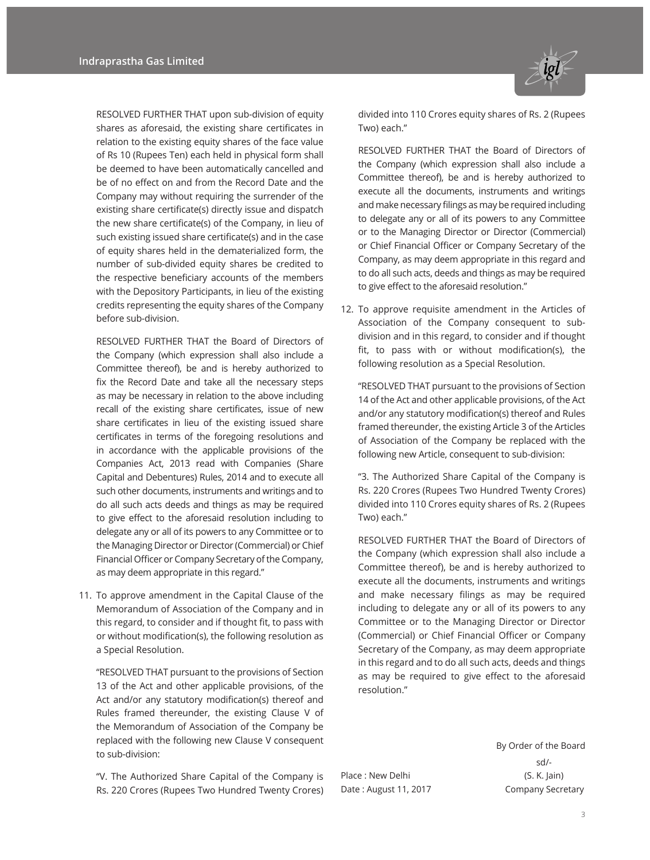RESOLVED FURTHER THAT upon sub-division of equity shares as aforesaid, the existing share certificates in relation to the existing equity shares of the face value of Rs 10 (Rupees Ten) each held in physical form shall be deemed to have been automatically cancelled and be of no effect on and from the Record Date and the Company may without requiring the surrender of the existing share certificate(s) directly issue and dispatch the new share certificate(s) of the Company, in lieu of such existing issued share certificate(s) and in the case of equity shares held in the dematerialized form, the number of sub-divided equity shares be credited to the respective beneficiary accounts of the members with the Depository Participants, in lieu of the existing credits representing the equity shares of the Company before sub-division.

RESOLVED FURTHER THAT the Board of Directors of the Company (which expression shall also include a Committee thereof), be and is hereby authorized to fix the Record Date and take all the necessary steps as may be necessary in relation to the above including recall of the existing share certificates, issue of new share certificates in lieu of the existing issued share certificates in terms of the foregoing resolutions and in accordance with the applicable provisions of the Companies Act, 2013 read with Companies (Share Capital and Debentures) Rules, 2014 and to execute all such other documents, instruments and writings and to do all such acts deeds and things as may be required to give effect to the aforesaid resolution including to delegate any or all of its powers to any Committee or to the Managing Director or Director (Commercial) or Chief Financial Officer or Company Secretary of the Company, as may deem appropriate in this regard."

11. To approve amendment in the Capital Clause of the Memorandum of Association of the Company and in this regard, to consider and if thought fit, to pass with or without modification(s), the following resolution as a Special Resolution.

"RESOLVED THAT pursuant to the provisions of Section 13 of the Act and other applicable provisions, of the Act and/or any statutory modification(s) thereof and Rules framed thereunder, the existing Clause V of the Memorandum of Association of the Company be replaced with the following new Clause V consequent to sub-division:

"V. The Authorized Share Capital of the Company is Rs. 220 Crores (Rupees Two Hundred Twenty Crores)



divided into 110 Crores equity shares of Rs. 2 (Rupees Two) each."

RESOLVED FURTHER THAT the Board of Directors of the Company (which expression shall also include a Committee thereof), be and is hereby authorized to execute all the documents, instruments and writings and make necessary filings as may be required including to delegate any or all of its powers to any Committee or to the Managing Director or Director (Commercial) or Chief Financial Officer or Company Secretary of the Company, as may deem appropriate in this regard and to do all such acts, deeds and things as may be required to give effect to the aforesaid resolution."

12. To approve requisite amendment in the Articles of Association of the Company consequent to subdivision and in this regard, to consider and if thought fit, to pass with or without modification(s), the following resolution as a Special Resolution.

"RESOLVED THAT pursuant to the provisions of Section 14 of the Act and other applicable provisions, of the Act and/or any statutory modification(s) thereof and Rules framed thereunder, the existing Article 3 of the Articles of Association of the Company be replaced with the following new Article, consequent to sub-division:

"3. The Authorized Share Capital of the Company is Rs. 220 Crores (Rupees Two Hundred Twenty Crores) divided into 110 Crores equity shares of Rs. 2 (Rupees Two) each."

RESOLVED FURTHER THAT the Board of Directors of the Company (which expression shall also include a Committee thereof), be and is hereby authorized to execute all the documents, instruments and writings and make necessary filings as may be required including to delegate any or all of its powers to any Committee or to the Managing Director or Director (Commercial) or Chief Financial Officer or Company Secretary of the Company, as may deem appropriate in this regard and to do all such acts, deeds and things as may be required to give effect to the aforesaid resolution."

Place : New Delhi (S. K. Jain) Date : August 11, 2017 Company Secretary

By Order of the Board sd/-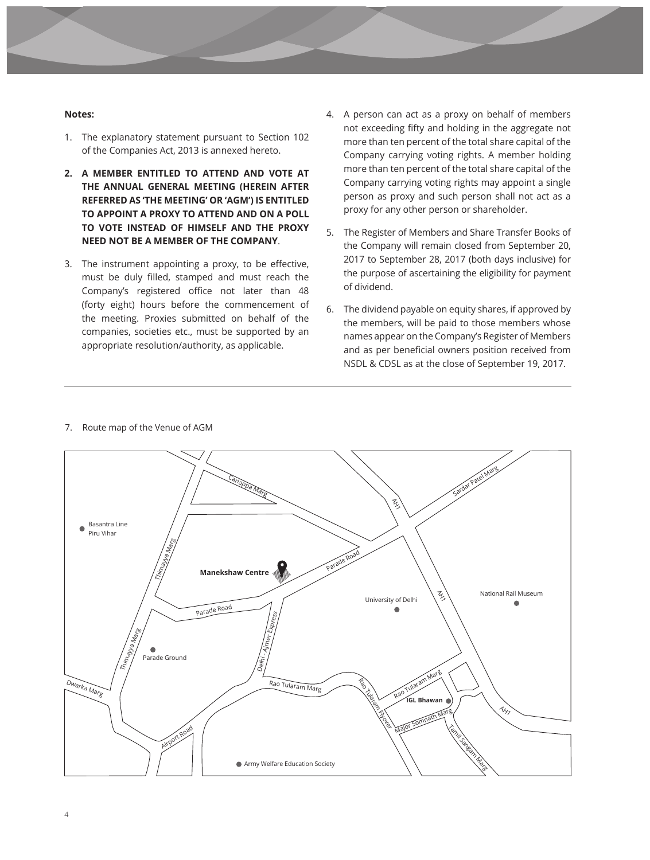#### **Notes:**

- 1. The explanatory statement pursuant to Section 102 of the Companies Act, 2013 is annexed hereto.
- **2. A MEMBER ENTITLED TO ATTEND AND VOTE AT THE ANNUAL GENERAL MEETING (HEREIN AFTER REFERRED AS 'THE MEETING' OR 'AGM') IS ENTITLED TO APPOINT A PROXY TO ATTEND AND ON A POLL TO VOTE INSTEAD OF HIMSELF AND THE PROXY NEED NOT BE A MEMBER OF THE COMPANY**.
- 3. The instrument appointing a proxy, to be effective, must be duly filled, stamped and must reach the Company's registered office not later than 48 (forty eight) hours before the commencement of the meeting. Proxies submitted on behalf of the companies, societies etc., must be supported by an appropriate resolution/authority, as applicable.
- 4. A person can act as a proxy on behalf of members not exceeding fifty and holding in the aggregate not more than ten percent of the total share capital of the Company carrying voting rights. A member holding more than ten percent of the total share capital of the Company carrying voting rights may appoint a single person as proxy and such person shall not act as a proxy for any other person or shareholder.
- 5. The Register of Members and Share Transfer Books of the Company will remain closed from September 20, 2017 to September 28, 2017 (both days inclusive) for the purpose of ascertaining the eligibility for payment of dividend.
- 6. The dividend payable on equity shares, if approved by the members, will be paid to those members whose names appear on the Company's Register of Members and as per beneficial owners position received from NSDL & CDSL as at the close of September 19, 2017.



#### 7. Route map of the Venue of AGM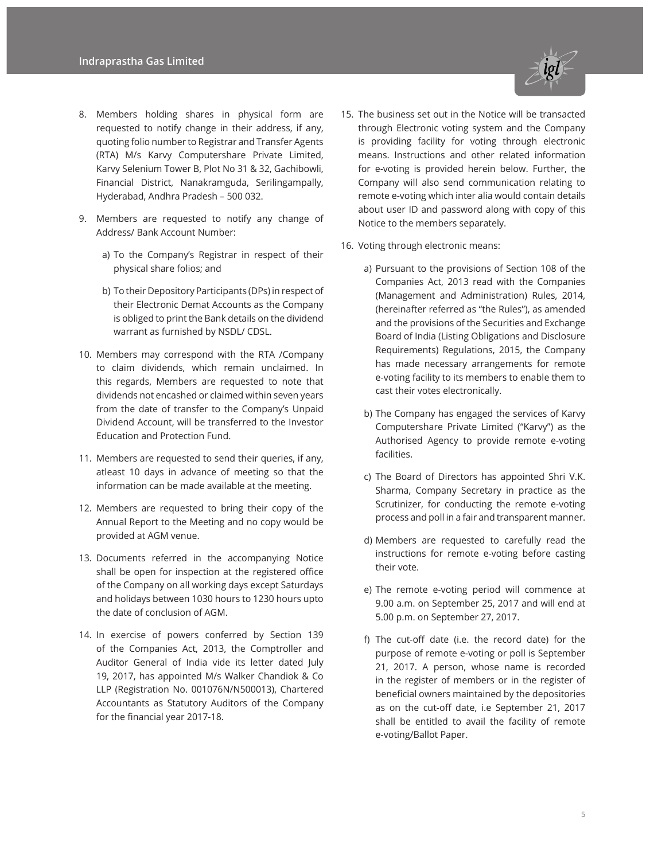- 8. Members holding shares in physical form are requested to notify change in their address, if any, quoting folio number to Registrar and Transfer Agents (RTA) M/s Karvy Computershare Private Limited, Karvy Selenium Tower B, Plot No 31 & 32, Gachibowli, Financial District, Nanakramguda, Serilingampally, Hyderabad, Andhra Pradesh – 500 032.
- 9. Members are requested to notify any change of Address/ Bank Account Number:
	- a) To the Company's Registrar in respect of their physical share folios; and
	- b) To their Depository Participants (DPs) in respect of their Electronic Demat Accounts as the Company is obliged to print the Bank details on the dividend warrant as furnished by NSDL/ CDSL.
- 10. Members may correspond with the RTA /Company to claim dividends, which remain unclaimed. In this regards, Members are requested to note that dividends not encashed or claimed within seven years from the date of transfer to the Company's Unpaid Dividend Account, will be transferred to the Investor Education and Protection Fund.
- 11. Members are requested to send their queries, if any, atleast 10 days in advance of meeting so that the information can be made available at the meeting.
- 12. Members are requested to bring their copy of the Annual Report to the Meeting and no copy would be provided at AGM venue.
- 13. Documents referred in the accompanying Notice shall be open for inspection at the registered office of the Company on all working days except Saturdays and holidays between 1030 hours to 1230 hours upto the date of conclusion of AGM.
- 14. In exercise of powers conferred by Section 139 of the Companies Act, 2013, the Comptroller and Auditor General of India vide its letter dated July 19, 2017, has appointed M/s Walker Chandiok & Co LLP (Registration No. 001076N/N500013), Chartered Accountants as Statutory Auditors of the Company for the financial year 2017-18.



- through Electronic voting system and the Company is providing facility for voting through electronic means. Instructions and other related information for e-voting is provided herein below. Further, the Company will also send communication relating to remote e-voting which inter alia would contain details about user ID and password along with copy of this Notice to the members separately.
- 16. Voting through electronic means:
	- a) Pursuant to the provisions of Section 108 of the Companies Act, 2013 read with the Companies (Management and Administration) Rules, 2014, (hereinafter referred as "the Rules"), as amended and the provisions of the Securities and Exchange Board of India (Listing Obligations and Disclosure Requirements) Regulations, 2015, the Company has made necessary arrangements for remote e-voting facility to its members to enable them to cast their votes electronically.
	- b) The Company has engaged the services of Karvy Computershare Private Limited ("Karvy") as the Authorised Agency to provide remote e-voting facilities.
	- c) The Board of Directors has appointed Shri V.K. Sharma, Company Secretary in practice as the Scrutinizer, for conducting the remote e-voting process and poll in a fair and transparent manner.
	- d) Members are requested to carefully read the instructions for remote e-voting before casting their vote.
	- e) The remote e-voting period will commence at 9.00 a.m. on September 25, 2017 and will end at 5.00 p.m. on September 27, 2017.
	- f) The cut-off date (i.e. the record date) for the purpose of remote e-voting or poll is September 21, 2017. A person, whose name is recorded in the register of members or in the register of beneficial owners maintained by the depositories as on the cut-off date, i.e September 21, 2017 shall be entitled to avail the facility of remote e-voting/Ballot Paper.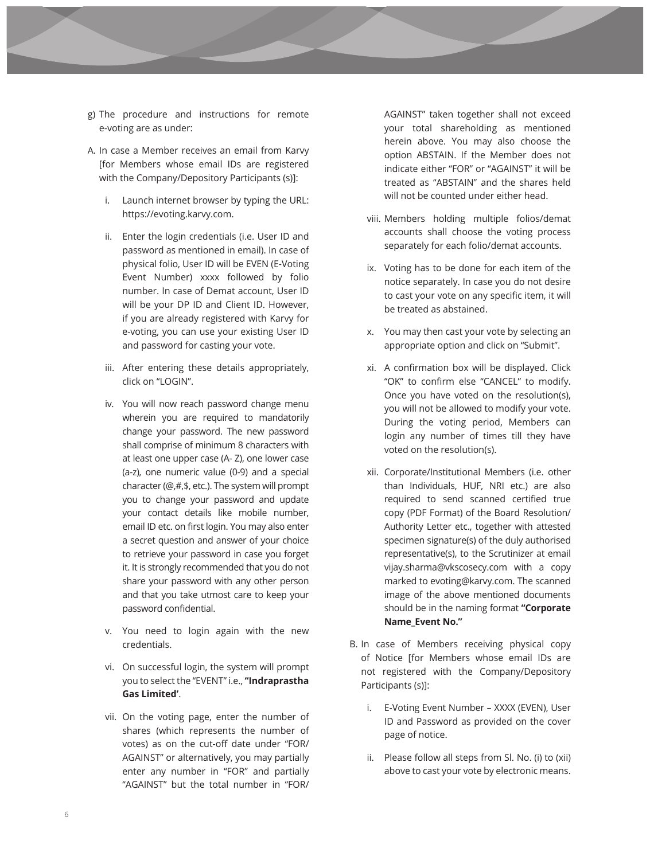- g) The procedure and instructions for remote e-voting are as under:
- A. In case a Member receives an email from Karvy [for Members whose email IDs are registered with the Company/Depository Participants (s)]:
	- i. Launch internet browser by typing the URL: https://evoting.karvy.com.
	- ii. Enter the login credentials (i.e. User ID and password as mentioned in email). In case of physical folio, User ID will be EVEN (E-Voting Event Number) xxxx followed by folio number. In case of Demat account, User ID will be your DP ID and Client ID. However, if you are already registered with Karvy for e-voting, you can use your existing User ID and password for casting your vote.
	- iii. After entering these details appropriately, click on "LOGIN".
	- iv. You will now reach password change menu wherein you are required to mandatorily change your password. The new password shall comprise of minimum 8 characters with at least one upper case (A- Z), one lower case (a-z), one numeric value (0-9) and a special character (@,#,\$, etc.). The system will prompt you to change your password and update your contact details like mobile number, email ID etc. on first login. You may also enter a secret question and answer of your choice to retrieve your password in case you forget it. It is strongly recommended that you do not share your password with any other person and that you take utmost care to keep your password confidential.
	- v. You need to login again with the new credentials.
	- vi. On successful login, the system will prompt you to select the "EVENT" i.e., **''Indraprastha Gas Limited'**.
	- vii. On the voting page, enter the number of shares (which represents the number of votes) as on the cut-off date under "FOR/ AGAINST" or alternatively, you may partially enter any number in "FOR" and partially "AGAINST" but the total number in "FOR/

AGAINST" taken together shall not exceed your total shareholding as mentioned herein above. You may also choose the option ABSTAIN. If the Member does not indicate either "FOR" or "AGAINST" it will be treated as "ABSTAIN" and the shares held will not be counted under either head.

- viii. Members holding multiple folios/demat accounts shall choose the voting process separately for each folio/demat accounts.
- ix. Voting has to be done for each item of the notice separately. In case you do not desire to cast your vote on any specific item, it will be treated as abstained.
- x. You may then cast your vote by selecting an appropriate option and click on "Submit".
- xi. A confirmation box will be displayed. Click "OK" to confirm else "CANCEL" to modify. Once you have voted on the resolution(s), you will not be allowed to modify your vote. During the voting period, Members can login any number of times till they have voted on the resolution(s).
- xii. Corporate/Institutional Members (i.e. other than Individuals, HUF, NRI etc.) are also required to send scanned certified true copy (PDF Format) of the Board Resolution/ Authority Letter etc., together with attested specimen signature(s) of the duly authorised representative(s), to the Scrutinizer at email vijay.sharma@vkscosecy.com with a copy marked to evoting@karvy.com. The scanned image of the above mentioned documents should be in the naming format **"Corporate Name\_Event No."**
- B. In case of Members receiving physical copy of Notice [for Members whose email IDs are not registered with the Company/Depository Participants (s)]:
	- i. E-Voting Event Number XXXX (EVEN), User ID and Password as provided on the cover page of notice.
	- ii. Please follow all steps from Sl. No. (i) to (xii) above to cast your vote by electronic means.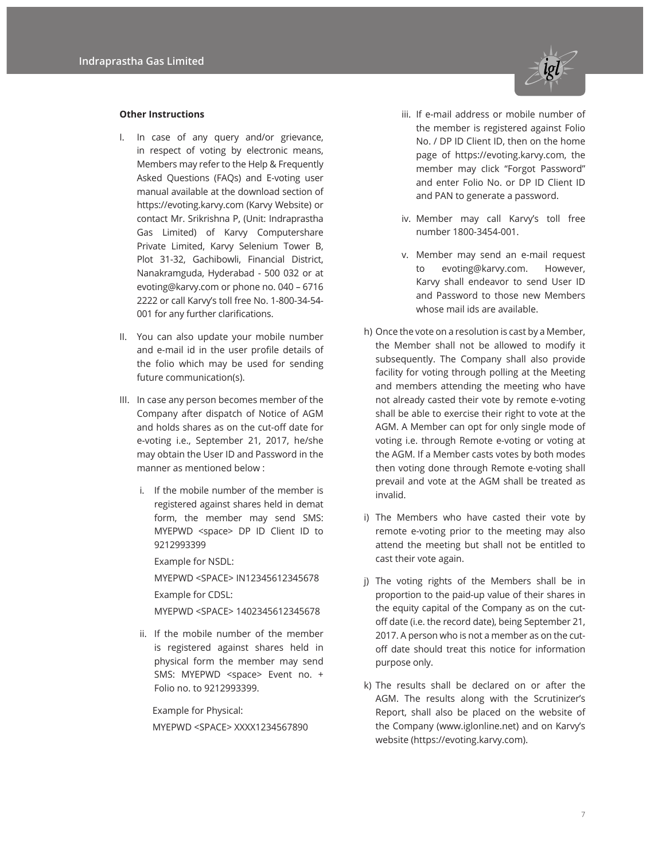

#### **Other Instructions**

- I. In case of any query and/or grievance, in respect of voting by electronic means, Members may refer to the Help & Frequently Asked Questions (FAQs) and E-voting user manual available at the download section of https://evoting.karvy.com (Karvy Website) or contact Mr. Srikrishna P, (Unit: Indraprastha Gas Limited) of Karvy Computershare Private Limited, Karvy Selenium Tower B, Plot 31-32, Gachibowli, Financial District, Nanakramguda, Hyderabad - 500 032 or at evoting@karvy.com or phone no. 040 – 6716 2222 or call Karvy's toll free No. 1-800-34-54- 001 for any further clarifications.
- II. You can also update your mobile number and e-mail id in the user profile details of the folio which may be used for sending future communication(s).
- III. In case any person becomes member of the Company after dispatch of Notice of AGM and holds shares as on the cut-off date for e-voting i.e., September 21, 2017, he/she may obtain the User ID and Password in the manner as mentioned below :
	- i. If the mobile number of the member is registered against shares held in demat form, the member may send SMS: MYEPWD <space> DP ID Client ID to 9212993399

Example for NSDL:

MYEPWD <SPACE> IN12345612345678

Example for CDSL:

MYEPWD <SPACE> 1402345612345678

ii. If the mobile number of the member is registered against shares held in physical form the member may send SMS: MYEPWD <space> Event no. + Folio no. to 9212993399.

Example for Physical: MYEPWD <SPACE> XXXX1234567890

- iii. If e-mail address or mobile number of the member is registered against Folio No. / DP ID Client ID, then on the home page of https://evoting.karvy.com, the member may click "Forgot Password" and enter Folio No. or DP ID Client ID and PAN to generate a password.
- iv. Member may call Karvy's toll free number 1800-3454-001.
- v. Member may send an e-mail request to evoting@karvy.com. However, Karvy shall endeavor to send User ID and Password to those new Members whose mail ids are available.
- h) Once the vote on a resolution is cast by a Member, the Member shall not be allowed to modify it subsequently. The Company shall also provide facility for voting through polling at the Meeting and members attending the meeting who have not already casted their vote by remote e-voting shall be able to exercise their right to vote at the AGM. A Member can opt for only single mode of voting i.e. through Remote e-voting or voting at the AGM. If a Member casts votes by both modes then voting done through Remote e-voting shall prevail and vote at the AGM shall be treated as invalid.
- i) The Members who have casted their vote by remote e-voting prior to the meeting may also attend the meeting but shall not be entitled to cast their vote again.
- j) The voting rights of the Members shall be in proportion to the paid-up value of their shares in the equity capital of the Company as on the cutoff date (i.e. the record date), being September 21, 2017. A person who is not a member as on the cutoff date should treat this notice for information purpose only.
- k) The results shall be declared on or after the AGM. The results along with the Scrutinizer's Report, shall also be placed on the website of the Company (www.iglonline.net) and on Karvy's website (https://evoting.karvy.com).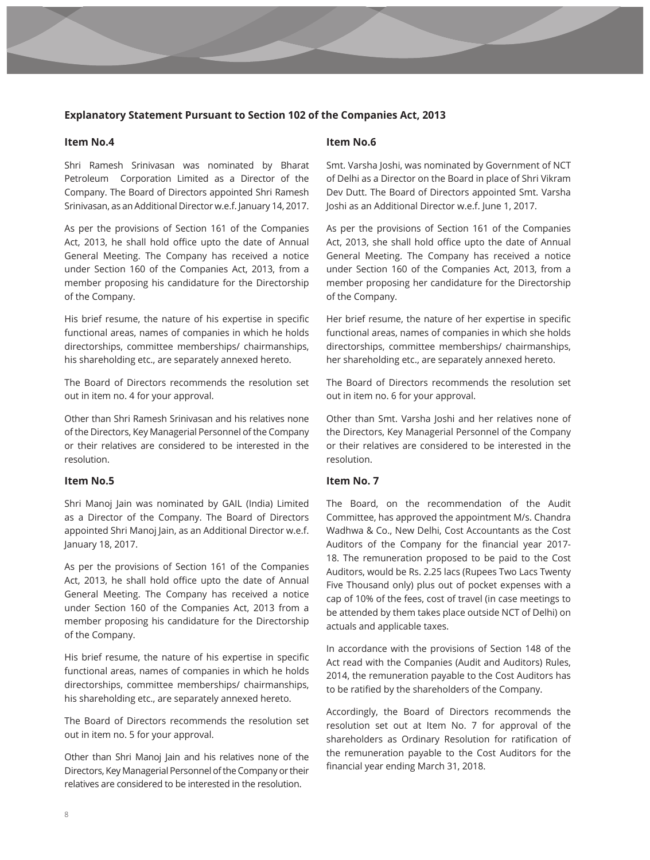## **Explanatory Statement Pursuant to Section 102 of the Companies Act, 2013**

#### **Item No.4**

Shri Ramesh Srinivasan was nominated by Bharat Petroleum Corporation Limited as a Director of the Company. The Board of Directors appointed Shri Ramesh Srinivasan, as an Additional Director w.e.f. January 14, 2017.

As per the provisions of Section 161 of the Companies Act, 2013, he shall hold office upto the date of Annual General Meeting. The Company has received a notice under Section 160 of the Companies Act, 2013, from a member proposing his candidature for the Directorship of the Company.

His brief resume, the nature of his expertise in specific functional areas, names of companies in which he holds directorships, committee memberships/ chairmanships, his shareholding etc., are separately annexed hereto.

The Board of Directors recommends the resolution set out in item no. 4 for your approval.

Other than Shri Ramesh Srinivasan and his relatives none of the Directors, Key Managerial Personnel of the Company or their relatives are considered to be interested in the resolution.

## **Item No.5**

Shri Manoj Jain was nominated by GAIL (India) Limited as a Director of the Company. The Board of Directors appointed Shri Manoj Jain, as an Additional Director w.e.f. January 18, 2017.

As per the provisions of Section 161 of the Companies Act, 2013, he shall hold office upto the date of Annual General Meeting. The Company has received a notice under Section 160 of the Companies Act, 2013 from a member proposing his candidature for the Directorship of the Company.

His brief resume, the nature of his expertise in specific functional areas, names of companies in which he holds directorships, committee memberships/ chairmanships, his shareholding etc., are separately annexed hereto.

The Board of Directors recommends the resolution set out in item no. 5 for your approval.

Other than Shri Manoj Jain and his relatives none of the Directors, Key Managerial Personnel of the Company or their relatives are considered to be interested in the resolution.

#### **Item No.6**

Smt. Varsha Joshi, was nominated by Government of NCT of Delhi as a Director on the Board in place of Shri Vikram Dev Dutt. The Board of Directors appointed Smt. Varsha Joshi as an Additional Director w.e.f. June 1, 2017.

As per the provisions of Section 161 of the Companies Act, 2013, she shall hold office upto the date of Annual General Meeting. The Company has received a notice under Section 160 of the Companies Act, 2013, from a member proposing her candidature for the Directorship of the Company.

Her brief resume, the nature of her expertise in specific functional areas, names of companies in which she holds directorships, committee memberships/ chairmanships, her shareholding etc., are separately annexed hereto.

The Board of Directors recommends the resolution set out in item no. 6 for your approval.

Other than Smt. Varsha Joshi and her relatives none of the Directors, Key Managerial Personnel of the Company or their relatives are considered to be interested in the resolution.

## **Item No. 7**

The Board, on the recommendation of the Audit Committee, has approved the appointment M/s. Chandra Wadhwa & Co., New Delhi, Cost Accountants as the Cost Auditors of the Company for the financial year 2017- 18. The remuneration proposed to be paid to the Cost Auditors, would be Rs. 2.25 lacs (Rupees Two Lacs Twenty Five Thousand only) plus out of pocket expenses with a cap of 10% of the fees, cost of travel (in case meetings to be attended by them takes place outside NCT of Delhi) on actuals and applicable taxes.

In accordance with the provisions of Section 148 of the Act read with the Companies (Audit and Auditors) Rules, 2014, the remuneration payable to the Cost Auditors has to be ratified by the shareholders of the Company.

Accordingly, the Board of Directors recommends the resolution set out at Item No. 7 for approval of the shareholders as Ordinary Resolution for ratification of the remuneration payable to the Cost Auditors for the financial year ending March 31, 2018.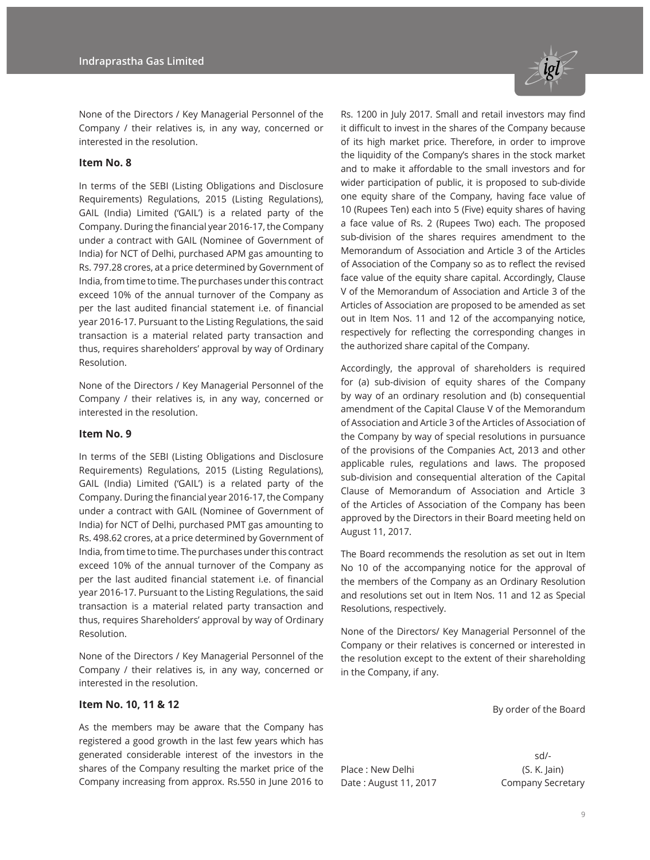

None of the Directors / Key Managerial Personnel of the Company / their relatives is, in any way, concerned or interested in the resolution.

#### **Item No. 8**

In terms of the SEBI (Listing Obligations and Disclosure Requirements) Regulations, 2015 (Listing Regulations), GAIL (India) Limited ('GAIL') is a related party of the Company. During the financial year 2016-17, the Company under a contract with GAIL (Nominee of Government of India) for NCT of Delhi, purchased APM gas amounting to Rs. 797.28 crores, at a price determined by Government of India, from time to time. The purchases under this contract exceed 10% of the annual turnover of the Company as per the last audited financial statement i.e. of financial year 2016-17. Pursuant to the Listing Regulations, the said transaction is a material related party transaction and thus, requires shareholders' approval by way of Ordinary Resolution.

None of the Directors / Key Managerial Personnel of the Company / their relatives is, in any way, concerned or interested in the resolution.

#### **Item No. 9**

In terms of the SEBI (Listing Obligations and Disclosure Requirements) Regulations, 2015 (Listing Regulations), GAIL (India) Limited ('GAIL') is a related party of the Company. During the financial year 2016-17, the Company under a contract with GAIL (Nominee of Government of India) for NCT of Delhi, purchased PMT gas amounting to Rs. 498.62 crores, at a price determined by Government of India, from time to time. The purchases under this contract exceed 10% of the annual turnover of the Company as per the last audited financial statement i.e. of financial year 2016-17. Pursuant to the Listing Regulations, the said transaction is a material related party transaction and thus, requires Shareholders' approval by way of Ordinary Resolution.

None of the Directors / Key Managerial Personnel of the Company / their relatives is, in any way, concerned or interested in the resolution.

## **Item No. 10, 11 & 12**

As the members may be aware that the Company has registered a good growth in the last few years which has generated considerable interest of the investors in the shares of the Company resulting the market price of the Company increasing from approx. Rs.550 in June 2016 to Rs. 1200 in July 2017. Small and retail investors may find it difficult to invest in the shares of the Company because of its high market price. Therefore, in order to improve the liquidity of the Company's shares in the stock market and to make it affordable to the small investors and for wider participation of public, it is proposed to sub-divide one equity share of the Company, having face value of 10 (Rupees Ten) each into 5 (Five) equity shares of having a face value of Rs. 2 (Rupees Two) each. The proposed sub-division of the shares requires amendment to the Memorandum of Association and Article 3 of the Articles of Association of the Company so as to reflect the revised face value of the equity share capital. Accordingly, Clause V of the Memorandum of Association and Article 3 of the Articles of Association are proposed to be amended as set out in Item Nos. 11 and 12 of the accompanying notice, respectively for reflecting the corresponding changes in the authorized share capital of the Company.

Accordingly, the approval of shareholders is required for (a) sub-division of equity shares of the Company by way of an ordinary resolution and (b) consequential amendment of the Capital Clause V of the Memorandum of Association and Article 3 of the Articles of Association of the Company by way of special resolutions in pursuance of the provisions of the Companies Act, 2013 and other applicable rules, regulations and laws. The proposed sub-division and consequential alteration of the Capital Clause of Memorandum of Association and Article 3 of the Articles of Association of the Company has been approved by the Directors in their Board meeting held on August 11, 2017.

The Board recommends the resolution as set out in Item No 10 of the accompanying notice for the approval of the members of the Company as an Ordinary Resolution and resolutions set out in Item Nos. 11 and 12 as Special Resolutions, respectively.

None of the Directors/ Key Managerial Personnel of the Company or their relatives is concerned or interested in the resolution except to the extent of their shareholding in the Company, if any.

By order of the Board

Place : New Delhi (S. K. Jain) Date: August 11, 2017 Company Secretary

sd/-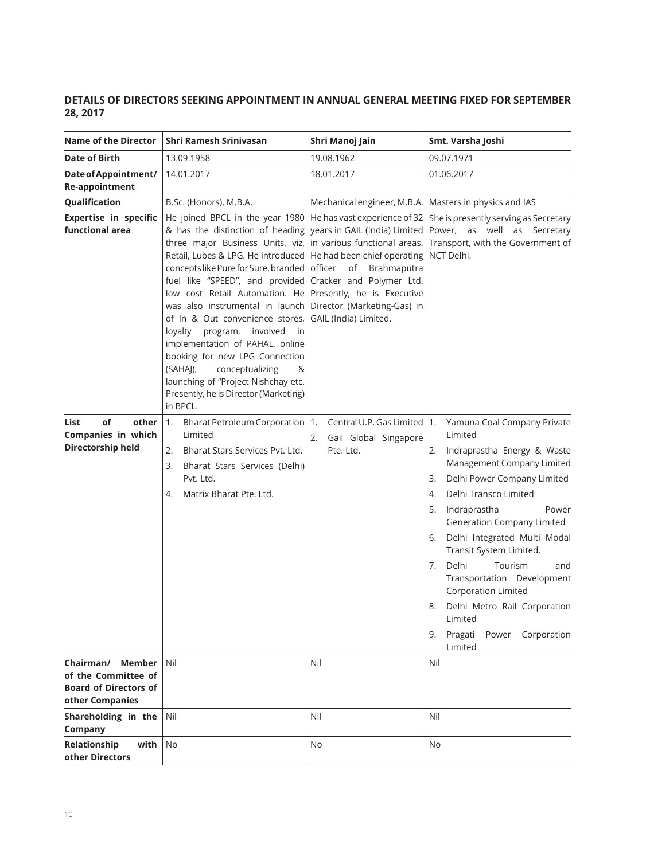## **DETAILS OF DIRECTORS SEEKING APPOINTMENT IN ANNUAL GENERAL MEETING FIXED FOR SEPTEMBER 28, 2017**

| <b>Name of the Director</b>                                                                          | Shri Ramesh Srinivasan                                                                                                                                                                                                                                                                                                                                                                                                                                                                                                                                                                                     | Shri Manoj Jain                                                                                                                                                                                                 | Smt. Varsha Joshi                                                                                                                                                                                                                                                                                                                                                                                                                                                                                                 |
|------------------------------------------------------------------------------------------------------|------------------------------------------------------------------------------------------------------------------------------------------------------------------------------------------------------------------------------------------------------------------------------------------------------------------------------------------------------------------------------------------------------------------------------------------------------------------------------------------------------------------------------------------------------------------------------------------------------------|-----------------------------------------------------------------------------------------------------------------------------------------------------------------------------------------------------------------|-------------------------------------------------------------------------------------------------------------------------------------------------------------------------------------------------------------------------------------------------------------------------------------------------------------------------------------------------------------------------------------------------------------------------------------------------------------------------------------------------------------------|
| <b>Date of Birth</b>                                                                                 | 13.09.1958                                                                                                                                                                                                                                                                                                                                                                                                                                                                                                                                                                                                 | 19.08.1962                                                                                                                                                                                                      | 09.07.1971                                                                                                                                                                                                                                                                                                                                                                                                                                                                                                        |
| Date of Appointment/<br><b>Re-appointment</b>                                                        | 14.01.2017                                                                                                                                                                                                                                                                                                                                                                                                                                                                                                                                                                                                 | 18.01.2017                                                                                                                                                                                                      | 01.06.2017                                                                                                                                                                                                                                                                                                                                                                                                                                                                                                        |
| Qualification                                                                                        | B.Sc. (Honors), M.B.A.                                                                                                                                                                                                                                                                                                                                                                                                                                                                                                                                                                                     | Mechanical engineer, M.B.A.                                                                                                                                                                                     | Masters in physics and IAS                                                                                                                                                                                                                                                                                                                                                                                                                                                                                        |
| <b>Expertise in specific</b><br>functional area                                                      | He joined BPCL in the year 1980<br>& has the distinction of heading<br>three major Business Units, viz,<br>Retail, Lubes & LPG. He introduced<br>concepts like Pure for Sure, branded<br>fuel like "SPEED", and provided<br>low cost Retail Automation. He Presently, he is Executive<br>was also instrumental in launch<br>of In & Out convenience stores,<br>loyalty<br>program,<br>involved<br>in.<br>implementation of PAHAL, online<br>booking for new LPG Connection<br>(SAHAJ),<br>conceptualizing<br>&<br>launching of "Project Nishchay etc.<br>Presently, he is Director (Marketing)<br>in BPCL. | He has vast experience of 32<br>in various functional areas.<br>He had been chief operating<br>of<br>Brahmaputra<br>officer<br>Cracker and Polymer Ltd.<br>Director (Marketing-Gas) in<br>GAIL (India) Limited. | She is presently serving as Secretary<br>years in GAIL (India) Limited   Power, as well as Secretary<br>Transport, with the Government of<br>NCT Delhi.                                                                                                                                                                                                                                                                                                                                                           |
| of<br>other<br>List<br>Companies in which<br>Directorship held                                       | 1.<br>Bharat Petroleum Corporation<br>Limited<br>Bharat Stars Services Pvt. Ltd.<br>2.<br>3.<br>Bharat Stars Services (Delhi)<br>Pvt. Ltd.<br>Matrix Bharat Pte. Ltd.<br>4.                                                                                                                                                                                                                                                                                                                                                                                                                                | Central U.P. Gas Limited   1.<br>1.<br>Gail Global Singapore<br>2.<br>Pte. Ltd.                                                                                                                                 | Yamuna Coal Company Private<br>Limited<br>Indraprastha Energy & Waste<br>2.<br>Management Company Limited<br>Delhi Power Company Limited<br>3.<br>Delhi Transco Limited<br>4.<br>Indraprastha<br>5.<br>Power<br><b>Generation Company Limited</b><br>Delhi Integrated Multi Modal<br>6.<br>Transit System Limited.<br>Delhi<br>Tourism<br>7.<br>and<br>Transportation Development<br><b>Corporation Limited</b><br>8.<br>Delhi Metro Rail Corporation<br>Limited<br>Pragati<br>Power Corporation<br>9.<br>Limited |
| Chairman/<br><b>Member</b><br>of the Committee of<br><b>Board of Directors of</b><br>other Companies | Nil                                                                                                                                                                                                                                                                                                                                                                                                                                                                                                                                                                                                        | Nil                                                                                                                                                                                                             | Nil                                                                                                                                                                                                                                                                                                                                                                                                                                                                                                               |
| Shareholding in the<br>Company                                                                       | Nil                                                                                                                                                                                                                                                                                                                                                                                                                                                                                                                                                                                                        | Nil                                                                                                                                                                                                             | Nil                                                                                                                                                                                                                                                                                                                                                                                                                                                                                                               |
| Relationship<br>with<br>other Directors                                                              | <b>No</b>                                                                                                                                                                                                                                                                                                                                                                                                                                                                                                                                                                                                  | No                                                                                                                                                                                                              | No                                                                                                                                                                                                                                                                                                                                                                                                                                                                                                                |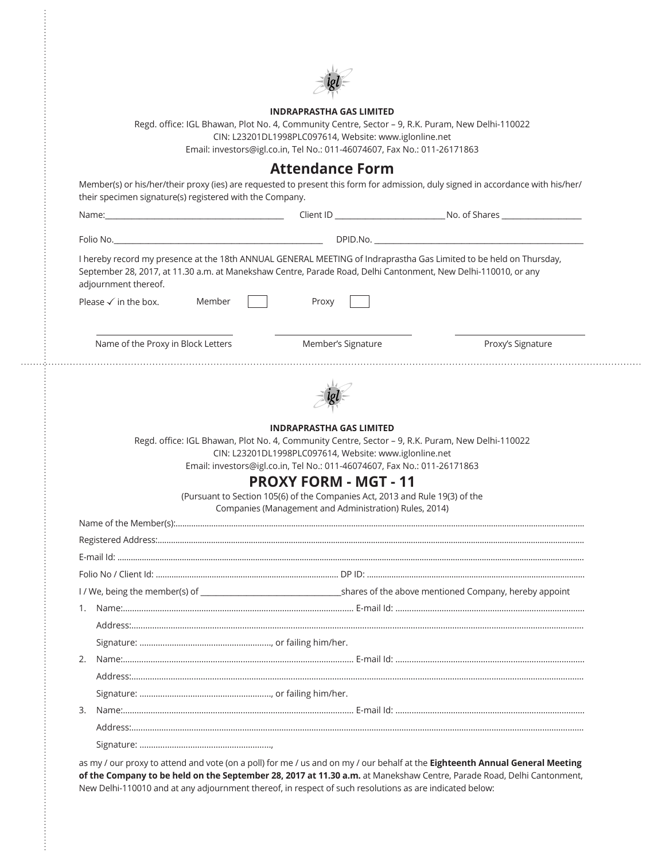

#### **INDRAPRASTHA GAS LIMITED**

Regd. office: IGL Bhawan, Plot No. 4, Community Centre, Sector – 9, R.K. Puram, New Delhi-110022 CIN: L23201DL1998PLC097614, Website: www.iglonline.net Email: investors@igl.co.in, Tel No.: 011-46074607, Fax No.: 011-26171863

 $\vdots$ 

| their specimen signature(s) registered with the Company.                                                                                                                                                                                                     |                                                                                                                                        |                   |
|--------------------------------------------------------------------------------------------------------------------------------------------------------------------------------------------------------------------------------------------------------------|----------------------------------------------------------------------------------------------------------------------------------------|-------------------|
|                                                                                                                                                                                                                                                              |                                                                                                                                        |                   |
|                                                                                                                                                                                                                                                              |                                                                                                                                        |                   |
| I hereby record my presence at the 18th ANNUAL GENERAL MEETING of Indraprastha Gas Limited to be held on Thursday,<br>September 28, 2017, at 11.30 a.m. at Manekshaw Centre, Parade Road, Delhi Cantonment, New Delhi-110010, or any<br>adjournment thereof. |                                                                                                                                        |                   |
| Please $\checkmark$ in the box.<br>Member                                                                                                                                                                                                                    | Proxy                                                                                                                                  |                   |
| Name of the Proxy in Block Letters                                                                                                                                                                                                                           | Member's Signature                                                                                                                     | Proxy's Signature |
|                                                                                                                                                                                                                                                              |                                                                                                                                        |                   |
|                                                                                                                                                                                                                                                              | <b>INDRAPRASTHA GAS LIMITED</b>                                                                                                        |                   |
|                                                                                                                                                                                                                                                              |                                                                                                                                        |                   |
|                                                                                                                                                                                                                                                              | Regd. office: IGL Bhawan, Plot No. 4, Community Centre, Sector - 9, R.K. Puram, New Delhi-110022                                       |                   |
|                                                                                                                                                                                                                                                              | CIN: L23201DL1998PLC097614, Website: www.iglonline.net                                                                                 |                   |
|                                                                                                                                                                                                                                                              | Email: investors@igl.co.in, Tel No.: 011-46074607, Fax No.: 011-26171863                                                               |                   |
|                                                                                                                                                                                                                                                              | <b>PROXY FORM - MGT - 11</b>                                                                                                           |                   |
|                                                                                                                                                                                                                                                              | (Pursuant to Section 105(6) of the Companies Act, 2013 and Rule 19(3) of the<br>Companies (Management and Administration) Rules, 2014) |                   |
|                                                                                                                                                                                                                                                              |                                                                                                                                        |                   |
|                                                                                                                                                                                                                                                              |                                                                                                                                        |                   |
|                                                                                                                                                                                                                                                              |                                                                                                                                        |                   |
|                                                                                                                                                                                                                                                              |                                                                                                                                        |                   |
| I/We, being the member(s) of source of the above mentioned Company, hereby appoint                                                                                                                                                                           |                                                                                                                                        |                   |
|                                                                                                                                                                                                                                                              |                                                                                                                                        |                   |
|                                                                                                                                                                                                                                                              |                                                                                                                                        |                   |
|                                                                                                                                                                                                                                                              |                                                                                                                                        |                   |
|                                                                                                                                                                                                                                                              |                                                                                                                                        |                   |
|                                                                                                                                                                                                                                                              |                                                                                                                                        |                   |
|                                                                                                                                                                                                                                                              |                                                                                                                                        |                   |

as my / our proxy to attend and vote (on a poll) for me / us and on my / our behalf at the **Eighteenth Annual General Meeting of the Company to be held on the September 28, 2017 at 11.30 a.m.** at Manekshaw Centre, Parade Road, Delhi Cantonment, New Delhi-110010 and at any adjournment thereof, in respect of such resolutions as are indicated below: